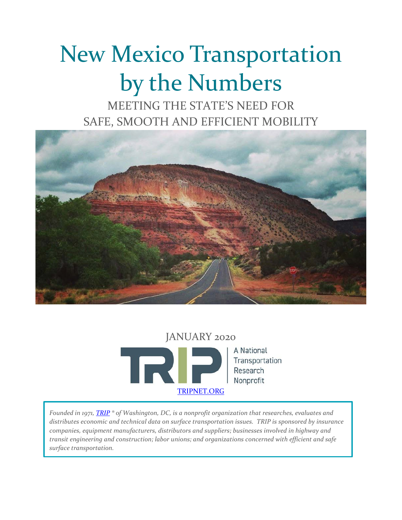# New Mexico Transportation by the Numbers

MEETING THE STATE'S NEED FOR SAFE, SMOOTH AND EFFICIENT MOBILITY



JANUARY 2020 A National T Transportation Research Nonprofit [TRIPNET.ORG](http://www.tripnet.org/)

*Founded in 1971, [TRIP](http://www.tripnet.org/) ® of Washington, DC, is a nonprofit organization that researches, evaluates and distributes economic and technical data on surface transportation issues. TRIP is sponsored by insurance companies, equipment manufacturers, distributors and suppliers; businesses involved in highway and transit engineering and construction; labor unions; and organizations concerned with efficient and safe surface transportation.*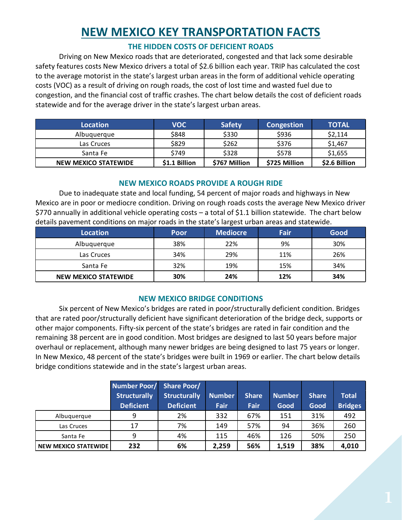# **NEW MEXICO KEY TRANSPORTATION FACTS**

#### **THE HIDDEN COSTS OF DEFICIENT ROADS**

Driving on New Mexico roads that are deteriorated, congested and that lack some desirable safety features costs New Mexico drivers a total of \$2.6 billion each year. TRIP has calculated the cost to the average motorist in the state's largest urban areas in the form of additional vehicle operating costs (VOC) as a result of driving on rough roads, the cost of lost time and wasted fuel due to congestion, and the financial cost of traffic crashes. The chart below details the cost of deficient roads statewide and for the average driver in the state's largest urban areas.

| <b>Location</b>      | <b>VOC</b>    | <b>Safety</b> | <b>Congestion</b> | <b>TOTAL</b>  |
|----------------------|---------------|---------------|-------------------|---------------|
| Albuguergue          | \$848         | \$330         | \$936             | \$2,114       |
| Las Cruces           | \$829         | \$262         | \$376             | \$1,467       |
| Santa Fe             | \$749         | \$328         | \$578             | \$1,655       |
| NEW MEXICO STATEWIDE | \$1.1 Billion | \$767 Million | \$725 Million     | \$2.6 Billion |

# **NEW MEXICO ROADS PROVIDE A ROUGH RIDE**

Due to inadequate state and local funding, 54 percent of major roads and highways in New Mexico are in poor or mediocre condition. Driving on rough roads costs the average New Mexico driver \$770 annually in additional vehicle operating costs – a total of \$1.1 billion statewide. The chart below details pavement conditions on major roads in the state's largest urban areas and statewide.

| <b>Location</b>             | Poor | <b>Mediocre</b> | Fair | Good |
|-----------------------------|------|-----------------|------|------|
| Albuquerque                 | 38%  | 22%             | 9%   | 30%  |
| Las Cruces                  | 34%  | 29%             | 11%  | 26%  |
| Santa Fe                    | 32%  | 19%             | 15%  | 34%  |
| <b>NEW MEXICO STATEWIDE</b> | 30%  | 24%             | 12%  | 34%  |

# **NEW MEXICO BRIDGE CONDITIONS**

Six percent of New Mexico's bridges are rated in poor/structurally deficient condition. Bridges that are rated poor/structurally deficient have significant deterioration of the bridge deck, supports or other major components. Fifty-six percent of the state's bridges are rated in fair condition and the remaining 38 percent are in good condition. Most bridges are designed to last 50 years before major overhaul or replacement, although many newer bridges are being designed to last 75 years or longer. In New Mexico, 48 percent of the state's bridges were built in 1969 or earlier. The chart below details bridge conditions statewide and in the state's largest urban areas.

|                             | Number Poor/<br><b>Structurally</b><br><b>Deficient</b> | <b>Share Poor/</b><br><b>Structurally</b><br><b>Deficient</b> | <b>Number</b><br>Fair | <b>Share</b><br>Fair | <b>Number</b><br>Good | <b>Share</b><br>Good | <b>Total</b><br><b>Bridges</b> |
|-----------------------------|---------------------------------------------------------|---------------------------------------------------------------|-----------------------|----------------------|-----------------------|----------------------|--------------------------------|
| Albuquerque                 | 9                                                       | 2%                                                            | 332                   | 67%                  | 151                   | 31%                  | 492                            |
| Las Cruces                  | 17                                                      | 7%                                                            | 149                   | 57%                  | 94                    | 36%                  | 260                            |
| Santa Fe                    | 9                                                       | 4%                                                            | 115                   | 46%                  | 126                   | 50%                  | 250                            |
| <b>NEW MEXICO STATEWIDE</b> | 232                                                     | 6%                                                            | 2,259                 | 56%                  | 1,519                 | 38%                  | 4,010                          |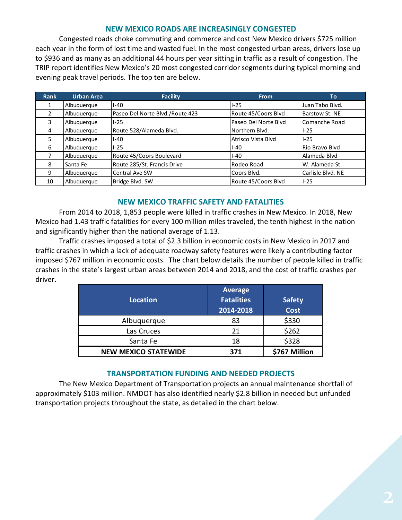#### **NEW MEXICO ROADS ARE INCREASINGLY CONGESTED**

<span id="page-2-0"></span>Congested roads choke commuting and commerce and cost New Mexico drivers \$725 million each year in the form of lost time and wasted fuel. In the most congested urban areas, drivers lose up to \$936 and as many as an additional 44 hours per year sitting in traffic as a result of congestion. The TRIP report identifies New Mexico's 20 most congested corridor segments during typical morning and evening peak travel periods. The top ten are below.

<span id="page-2-8"></span><span id="page-2-7"></span><span id="page-2-6"></span><span id="page-2-5"></span><span id="page-2-4"></span><span id="page-2-3"></span><span id="page-2-2"></span><span id="page-2-1"></span>

| Rank | <b>Urban Area</b> | <b>Facility</b>                 | <b>From</b>          | To                |
|------|-------------------|---------------------------------|----------------------|-------------------|
|      | Albuquerque       | $I - 40$                        | $1-25$               | Juan Tabo Blvd.   |
| 2    | Albuquerque       | Paseo Del Norte Blvd./Route 423 | Route 45/Coors Blvd  | Barstow St. NE    |
| 3    | Albuquerque       | $1 - 25$                        | Paseo Del Norte Blvd | Comanche Road     |
| 4    | Albuquerque       | Route 528/Alameda Blvd.         | Northern Blvd.       | $I-25$            |
| 5    | Albuquerque       | $I - 40$                        | Atrisco Vista Blvd   | $I-25$            |
| 6    | Albuquerque       | $I-25$                          | I-40                 | Rio Bravo Blvd    |
|      | Albuquerque       | Route 45/Coors Boulevard        | $I-40$               | Alameda Blvd      |
| 8    | Santa Fe          | Route 285/St. Francis Drive     | Rodeo Road           | W. Alameda St.    |
| 9    | Albuquerque       | Central Ave SW                  | Coors Blvd.          | Carlisle Blvd. NE |
| 10   | Albuguergue       | Bridge Blvd. SW                 | Route 45/Coors Blvd  | $I-25$            |

#### **NEW MEXICO TRAFFIC SAFETY AND FATALITIES**

<span id="page-2-16"></span><span id="page-2-15"></span><span id="page-2-14"></span><span id="page-2-13"></span><span id="page-2-12"></span><span id="page-2-11"></span><span id="page-2-10"></span><span id="page-2-9"></span>From 2014 to 2018, 1,853 people were killed in traffic crashes in New Mexico. In 2018, New Mexico had 1.43 traffic fatalities for every 100 million miles traveled, the tenth highest in the nation and significantly higher than the national average of 1.13.

<span id="page-2-24"></span><span id="page-2-23"></span><span id="page-2-22"></span><span id="page-2-21"></span><span id="page-2-20"></span><span id="page-2-19"></span><span id="page-2-18"></span><span id="page-2-17"></span>Traffic crashes imposed a total of \$2.3 billion in economic costs in New Mexico in 2017 and traffic crashes in which a lack of adequate roadway safety features were likely a contributing factor imposed \$767 million in economic costs. The chart below details the number of people killed in traffic crashes in the state's largest urban areas between 2014 and 2018, and the cost of traffic crashes per driver.

| Location                    | <b>Average</b><br><b>Fatalities</b><br>2014-2018 | <b>Safety</b><br>Cost |
|-----------------------------|--------------------------------------------------|-----------------------|
| Albuquerque                 | 83                                               | \$330                 |
| Las Cruces                  | 21                                               | \$262                 |
| Santa Fe                    | 18                                               | \$328                 |
| <b>NEW MEXICO STATEWIDE</b> | 371                                              | \$767 Million         |

#### **TRANSPORTATION FUNDING AND NEEDED PROJECTS**

<span id="page-2-37"></span><span id="page-2-36"></span><span id="page-2-35"></span><span id="page-2-34"></span><span id="page-2-33"></span><span id="page-2-32"></span><span id="page-2-31"></span><span id="page-2-30"></span><span id="page-2-29"></span><span id="page-2-28"></span><span id="page-2-27"></span><span id="page-2-26"></span><span id="page-2-25"></span>The New Mexico Department of Transportation projects an annual maintenance shortfall of approximately \$103 million. NMDOT has also identified nearly \$2.8 billion in needed but unfunded transportation projects throughout the state, as detailed in the chart below.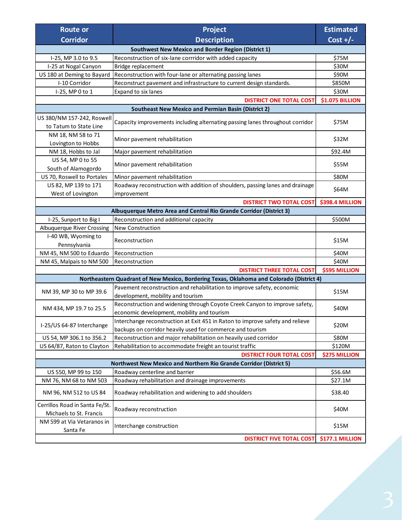<span id="page-3-1"></span><span id="page-3-0"></span>

| <b>Route or</b>                                            | Project                                                                                                     | <b>Estimated</b>       |  |  |  |
|------------------------------------------------------------|-------------------------------------------------------------------------------------------------------------|------------------------|--|--|--|
| <b>Corridor</b>                                            | <b>Description</b>                                                                                          | Cost $+/-$             |  |  |  |
| <b>Southwest New Mexico and Border Region (District 1)</b> |                                                                                                             |                        |  |  |  |
| I-25, MP 3.0 to 9.5                                        | Reconstruction of six-lane corrridor with added capacity                                                    | \$75M                  |  |  |  |
| I-25 at Nogal Canyon                                       | Bridge replacement                                                                                          | \$30M                  |  |  |  |
| US 180 at Deming to Bayard                                 | Reconstruction with four-lane or alternating passing lanes                                                  | \$90M                  |  |  |  |
| I-10 Corridor                                              | Reconstruct pavement and infrastructure to current design standards.                                        | \$850M                 |  |  |  |
| I-25, MP 0 to 1                                            | Expand to six lanes                                                                                         | \$30M                  |  |  |  |
|                                                            | <b>DISTRICT ONE TOTAL COST</b>                                                                              | <b>\$1.075 BILLION</b> |  |  |  |
|                                                            | <b>Southeast New Mexico and Permian Basin (District 2)</b>                                                  |                        |  |  |  |
| US 380/NM 157-242, Roswell                                 |                                                                                                             |                        |  |  |  |
| to Tatum to State Line                                     | Capacity improvements including alternating passing lanes throughout corridor                               | \$75M                  |  |  |  |
| NM 18, NM 58 to 71                                         |                                                                                                             |                        |  |  |  |
| Minor pavement rehabilitation<br>Lovington to Hobbs        |                                                                                                             | \$32M                  |  |  |  |
| NM 18, Hobbs to Jal                                        | Major pavement rehabilitation                                                                               | \$92.4M                |  |  |  |
| US 54, MP 0 to 55                                          |                                                                                                             | \$55M                  |  |  |  |
| South of Alamogordo                                        | Minor pavement rehabilitation                                                                               |                        |  |  |  |
| US 70, Roswell to Portales                                 | Minor pavement rehabilitation                                                                               | \$80M                  |  |  |  |
| US 82, MP 139 to 171                                       | Roadway reconstruction with addition of shoulders, passing lanes and drainage                               | \$64M                  |  |  |  |
| West of Lovington                                          | improvement                                                                                                 |                        |  |  |  |
|                                                            | <b>DISTRICT TWO TOTAL COST</b>                                                                              | \$398.4 MILLION        |  |  |  |
|                                                            | Albuquerque Metro Area and Central Rio Grande Corridor (District 3)                                         |                        |  |  |  |
| I-25, Sunport to Big I                                     | Reconstruction and additional capacity                                                                      | \$500M                 |  |  |  |
| Albuquerque River Crossing                                 | <b>New Construction</b>                                                                                     |                        |  |  |  |
| I-40 WB, Wyoming to                                        | Reconstruction                                                                                              | \$15M                  |  |  |  |
| Pennsylvania                                               |                                                                                                             |                        |  |  |  |
| NM 45, NM 500 to Eduardo                                   | Reconstruction                                                                                              | \$40M                  |  |  |  |
| NM 45, Malpais to NM 500                                   | Reconstruction                                                                                              | \$40M                  |  |  |  |
|                                                            | <b>DISTRICT THREE TOTAL COST</b>                                                                            | <b>\$595 MILLION</b>   |  |  |  |
|                                                            | Northeastern Quadrant of New Mexico, Bordering Texas, Oklahoma and Colorado (District 4)                    |                        |  |  |  |
| NM 39, MP 30 to MP 39.6                                    | Pavement reconstruction and rehabilitation to improve safety, economic<br>development, mobility and tourism | \$15M                  |  |  |  |
| NM 434, MP 19.7 to 25.5                                    | Reconstruction and widening through Coyote Creek Canyon to improve safety,                                  |                        |  |  |  |
|                                                            | economic development, mobility and tourism                                                                  | \$40M                  |  |  |  |
| I-25/US 64-87 Interchange                                  | Interchange reconstruction at Exit 451 in Raton to improve safety and relieve                               | \$20M                  |  |  |  |
|                                                            | backups on corridor heavily used for commerce and tourism                                                   |                        |  |  |  |
| US 54, MP 306.1 to 356.2                                   | Reconstruction and major rehabilitation on heavily used corridor                                            | \$80M                  |  |  |  |
| US 64/87, Raton to Clayton                                 | Rehabilitation to accommodate freight an tourist traffic                                                    | \$120M                 |  |  |  |
|                                                            | <b>DISTRICT FOUR TOTAL COST</b>                                                                             | <b>\$275 MILLION</b>   |  |  |  |
|                                                            | Northwest New Mexico and Northern Rio Grande Corridor (District 5)                                          |                        |  |  |  |
| US 550, MP 99 to 150                                       | Roadway centerline and barrier                                                                              | \$56.6M                |  |  |  |
| NM 76, NM 68 to NM 503                                     | Roadway rehabilitation and drainage improvements                                                            | \$27.1M                |  |  |  |
| NM 96, NM 512 to US 84                                     | Roadway rehabilitation and widening to add shoulders                                                        | \$38.40                |  |  |  |
| Cerrillos Road in Santa Fe/St.<br>Michaels to St. Francis  | Roadway reconstruction                                                                                      | \$40M                  |  |  |  |
| NM 599 at Via Vetaranos in                                 |                                                                                                             |                        |  |  |  |
| Santa Fe                                                   | Interchange construction                                                                                    | \$15M                  |  |  |  |
|                                                            | <b>DISTRICT FIVE TOTAL COST</b>                                                                             | \$177.1 MILLION        |  |  |  |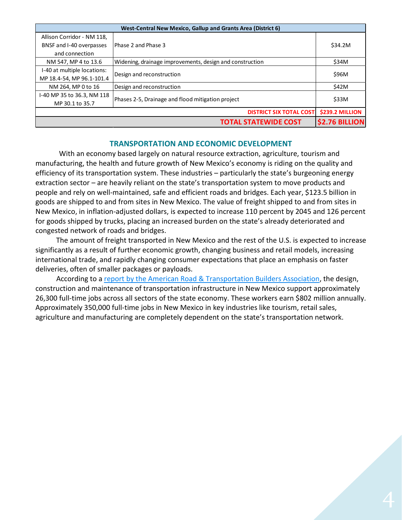| West-Central New Mexico, Gallup and Grants Area (District 6) |                                                          |                       |  |  |
|--------------------------------------------------------------|----------------------------------------------------------|-----------------------|--|--|
| Allison Corridor - NM 118,                                   |                                                          |                       |  |  |
| BNSF and I-40 overpasses                                     | Phase 2 and Phase 3                                      | \$34.2M               |  |  |
| and connection                                               |                                                          |                       |  |  |
| NM 547, MP 4 to 13.6                                         | Widening, drainage improvements, design and construction | \$34M                 |  |  |
| I-40 at multiple locations:                                  | Design and reconstruction                                | \$96M                 |  |  |
| MP 18.4-54, MP 96.1-101.4                                    |                                                          |                       |  |  |
| NM 264, MP 0 to 16                                           | Design and reconstruction                                | \$42M                 |  |  |
| 1-40 MP 35 to 36.3, NM 118                                   | Phases 2-5, Drainage and flood mitigation project        | \$33M                 |  |  |
| MP 30.1 to 35.7                                              |                                                          |                       |  |  |
|                                                              | <b>DISTRICT SIX TOTAL COST</b>                           | \$239.2 MILLION       |  |  |
|                                                              | <b>TOTAL STATEWIDE COST</b>                              | <b>\$2.76 BILLION</b> |  |  |

#### **TRANSPORTATION AND ECONOMIC DEVELOPMENT**

With an economy based largely on natural resource extraction, agriculture, tourism and manufacturing, the health and future growth of New Mexico's economy is riding on the quality and efficiency of its transportation system. These industries – particularly the state's burgeoning energy extraction sector – are heavily reliant on the state's transportation system to move products and people and rely on well-maintained, safe and efficient roads and bridges. Each year, \$123.5 billion in goods are shipped to and from sites in New Mexico. The value of freight shipped to and from sites in New Mexico, in inflation-adjusted dollars, is expected to increase 110 percent by 2045 and 126 percent for goods shipped by trucks, placing an increased burden on the state's already deteriorated and congested network of roads and bridges.

The amount of freight transported in New Mexico and the rest of the U.S. is expected to increase significantly as a result of further economic growth, changing business and retail models, increasing international trade, and rapidly changing consumer expectations that place an emphasis on faster deliveries, often of smaller packages or payloads.

According to a [report by the American Road & Transportation Builders Association,](https://www.transportationcreatesjobs.org/pdf/Economic_Profile.pdf) the design, construction and maintenance of transportation infrastructure in New Mexico support approximately 26,300 full-time jobs across all sectors of the state economy. These workers earn \$802 million annually. Approximately 350,000 full-time jobs in New Mexico in key industries like tourism, retail sales, agriculture and manufacturing are completely dependent on the state's transportation network.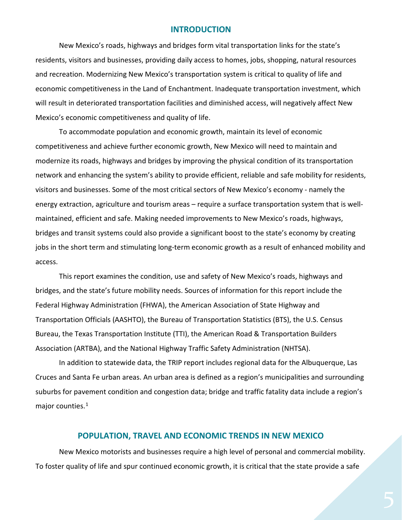#### **INTRODUCTION**

New Mexico's roads, highways and bridges form vital transportation links for the state's residents, visitors and businesses, providing daily access to homes, jobs, shopping, natural resources and recreation. Modernizing New Mexico's transportation system is critical to quality of life and economic competitiveness in the Land of Enchantment. Inadequate transportation investment, which will result in deteriorated transportation facilities and diminished access, will negatively affect New Mexico's economic competitiveness and quality of life.

To accommodate population and economic growth, maintain its level of economic competitiveness and achieve further economic growth, New Mexico will need to maintain and modernize its roads, highways and bridges by improving the physical condition of its transportation network and enhancing the system's ability to provide efficient, reliable and safe mobility for residents, visitors and businesses. Some of the most critical sectors of New Mexico's economy - namely the energy extraction, agriculture and tourism areas – require a surface transportation system that is wellmaintained, efficient and safe. Making needed improvements to New Mexico's roads, highways, bridges and transit systems could also provide a significant boost to the state's economy by creating jobs in the short term and stimulating long-term economic growth as a result of enhanced mobility and access.

This report examines the condition, use and safety of New Mexico's roads, highways and bridges, and the state's future mobility needs. Sources of information for this report include the Federal Highway Administration (FHWA), the American Association of State Highway and Transportation Officials (AASHTO), the Bureau of Transportation Statistics (BTS), the U.S. Census Bureau, the Texas Transportation Institute (TTI), the American Road & Transportation Builders Association (ARTBA), and the National Highway Traffic Safety Administration (NHTSA).

In addition to statewide data, the TRIP report includes regional data for the Albuquerque, Las Cruces and Santa Fe urban areas. An urban area is defined as a region's municipalities and surrounding suburbs for pavement condition and congestion data; bridge and traffic fatality data include a region's major counties.<sup>[1](#page-2-0)</sup>

#### **POPULATION, TRAVEL AND ECONOMIC TRENDS IN NEW MEXICO**

New Mexico motorists and businesses require a high level of personal and commercial mobility. To foster quality of life and spur continued economic growth, it is critical that the state provide a safe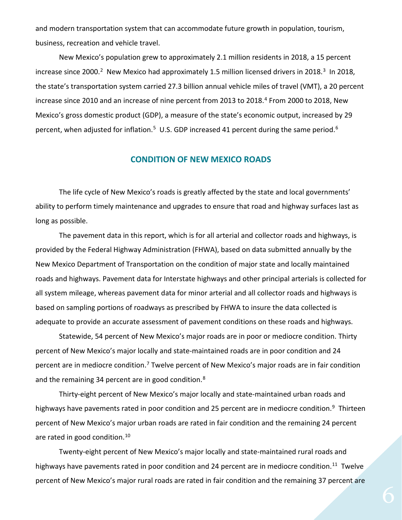and modern transportation system that can accommodate future growth in population, tourism, business, recreation and vehicle travel.

New Mexico's population grew to approximately 2.1 million residents in 2018, a 15 percent increase since 2000.<sup>2</sup> New Mexico had approximately 1.5 million licensed drivers in 2018.<sup>[3](#page-2-2)</sup> In 2018, the state's transportation system carried 27.3 billion annual vehicle miles of travel (VMT), a 20 percent increase since 2010 and an increase of nine percent from 2013 to 2018. [4](#page-2-3) From 2000 to 2018, New Mexico's gross domestic product (GDP), a measure of the state's economic output, increased by 29 percent, when adjusted for inflation.<sup>5</sup> U.S. GDP increased 41 percent during the same period.<sup>[6](#page-2-5)</sup>

#### **CONDITION OF NEW MEXICO ROADS**

The life cycle of New Mexico's roads is greatly affected by the state and local governments' ability to perform timely maintenance and upgrades to ensure that road and highway surfaces last as long as possible.

The pavement data in this report, which is for all arterial and collector roads and highways, is provided by the Federal Highway Administration (FHWA), based on data submitted annually by the New Mexico Department of Transportation on the condition of major state and locally maintained roads and highways. Pavement data for Interstate highways and other principal arterials is collected for all system mileage, whereas pavement data for minor arterial and all collector roads and highways is based on sampling portions of roadways as prescribed by FHWA to insure the data collected is adequate to provide an accurate assessment of pavement conditions on these roads and highways.

Statewide, 54 percent of New Mexico's major roads are in poor or mediocre condition. Thirty percent of New Mexico's major locally and state-maintained roads are in poor condition and 24 percent are in mediocre condition.<sup>[7](#page-2-6)</sup> Twelve percent of New Mexico's major roads are in fair condition and the remaining 34 percent are in good condition.<sup>[8](#page-2-7)</sup>

Thirty-eight percent of New Mexico's major locally and state-maintained urban roads and highways have pavements rated in poor condition and 25 percent are in mediocre condition.<sup>[9](#page-2-8)</sup> Thirteen percent of New Mexico's major urban roads are rated in fair condition and the remaining 24 percent are rated in good condition.<sup>10</sup>

Twenty-eight percent of New Mexico's major locally and state-maintained rural roads and highways have pavements rated in poor condition and 24 percent are in mediocre condition.<sup>[11](#page-2-10)</sup> Twelve percent of New Mexico's major rural roads are rated in fair condition and the remaining 37 percent are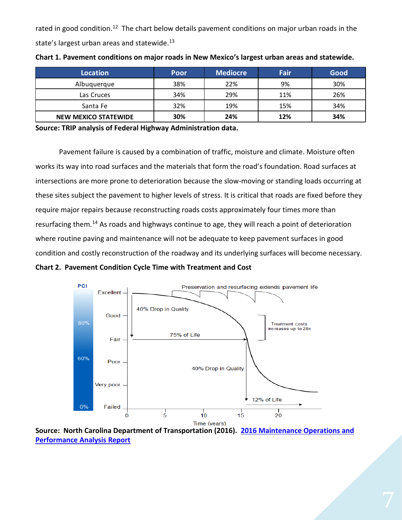rated in good condition.<sup>12</sup> The chart below details pavement conditions on major urban roads in the state's largest urban areas and statewide.<sup>[13](#page-2-12)</sup>

| <b>Location</b>      | Poor | <b>Mediocre</b> | Fair | Good |
|----------------------|------|-----------------|------|------|
| Albuquerque          | 38%  | 22%             | 9%   | 30%  |
| Las Cruces           | 34%  | 29%             | 11%  | 26%  |
| Santa Fe             | 32%  | 19%             | 15%  | 34%  |
| NEW MEXICO STATEWIDE | 30%  | 24%             | 12%  | 34%  |

**Chart 1. Pavement conditions on major roads in New Mexico's largest urban areas and statewide.** 

**Source: TRIP analysis of Federal Highway Administration data.** 

Pavement failure is caused by a combination of traffic, moisture and climate. Moisture often works its way into road surfaces and the materials that form the road's foundation. Road surfaces at intersections are more prone to deterioration because the slow-moving or standing loads occurring at these sites subject the pavement to higher levels of stress. It is critical that roads are fixed before they require major repairs because reconstructing roads costs approximately four times more than resurfacing them.<sup>[14](#page-2-13)</sup> As roads and highways continue to age, they will reach a point of deterioration where routine paving and maintenance will not be adequate to keep pavement surfaces in good condition and costly reconstruction of the roadway and its underlying surfaces will become necessary.





**Source: North Carolina Department of Transportation (2016). [2016 Maintenance Operations and](https://connect.ncdot.gov/resources/Asset-Management/MSADocuments/2016%20Maintenance%20Operations%20and%20Performance%20Analysis%20Report%20(MOPAR).pdf)  [Performance Analysis Report](https://connect.ncdot.gov/resources/Asset-Management/MSADocuments/2016%20Maintenance%20Operations%20and%20Performance%20Analysis%20Report%20(MOPAR).pdf)**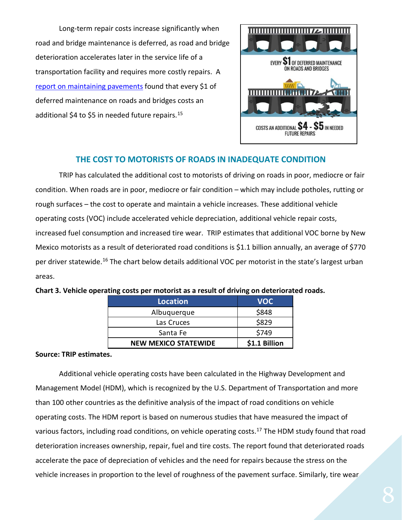Long-term repair costs increase significantly when road and bridge maintenance is deferred, as road and bridge deterioration accelerates later in the service life of a transportation facility and requires more costly repairs. A [report on maintaining pavements](https://www.yumpu.com/en/document/view/9021768/pavement-maintenance-cornell-local-roads-program-cornell-/4) found that every \$1 of deferred maintenance on roads and bridges costs an additional \$4 to \$5 in needed future repairs.<sup>[15](#page-2-14)</sup>



# **THE COST TO MOTORISTS OF ROADS IN INADEQUATE CONDITION**

TRIP has calculated the additional cost to motorists of driving on roads in poor, mediocre or fair condition. When roads are in poor, mediocre or fair condition – which may include potholes, rutting or rough surfaces – the cost to operate and maintain a vehicle increases. These additional vehicle operating costs (VOC) include accelerated vehicle depreciation, additional vehicle repair costs, increased fuel consumption and increased tire wear. TRIP estimates that additional VOC borne by New Mexico motorists as a result of deteriorated road conditions is \$1.1 billion annually, an average of \$770 per driver statewide.<sup>[16](#page-2-15)</sup> The chart below details additional VOC per motorist in the state's largest urban areas.

| <b>Location</b>             | <b>VOC</b>    |
|-----------------------------|---------------|
| Albuquerque                 | \$848         |
| Las Cruces                  | \$829         |
| Santa Fe                    | \$749         |
| <b>NEW MEXICO STATEWIDE</b> | \$1.1 Billion |

#### **Chart 3. Vehicle operating costs per motorist as a result of driving on deteriorated roads.**

#### **Source: TRIP estimates.**

Additional vehicle operating costs have been calculated in the Highway Development and Management Model (HDM), which is recognized by the U.S. Department of Transportation and more than 100 other countries as the definitive analysis of the impact of road conditions on vehicle operating costs. The HDM report is based on numerous studies that have measured the impact of various factors, including road conditions, on vehicle operating costs.<sup>[17](#page-2-16)</sup> The HDM study found that road deterioration increases ownership, repair, fuel and tire costs. The report found that deteriorated roads accelerate the pace of depreciation of vehicles and the need for repairs because the stress on the vehicle increases in proportion to the level of roughness of the pavement surface. Similarly, tire wear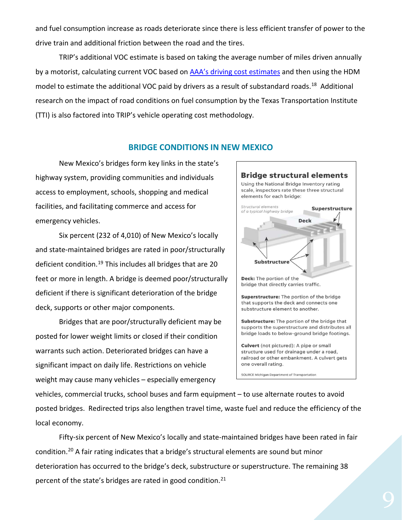and fuel consumption increase as roads deteriorate since there is less efficient transfer of power to the drive train and additional friction between the road and the tires.

TRIP's additional VOC estimate is based on taking the average number of miles driven annually by a motorist, calculating current VOC based on **[AAA's driving cost estimates](https://www.aaa.com/AAA/common/AAR/files/AAA-Your-Driving-Costs.pdf)** and then using the HDM model to estimate the additional VOC paid by drivers as a result of substandard roads.<sup>18</sup> Additional research on the impact of road conditions on fuel consumption by the Texas Transportation Institute (TTI) is also factored into TRIP's vehicle operating cost methodology.

#### **BRIDGE CONDITIONS IN NEW MEXICO**

New Mexico's bridges form key links in the state's highway system, providing communities and individuals access to employment, schools, shopping and medical facilities, and facilitating commerce and access for emergency vehicles.

Six percent (232 of 4,010) of New Mexico's locally and state-maintained bridges are rated in poor/structurally deficient condition.<sup>[19](#page-2-18)</sup> This includes all bridges that are 20 feet or more in length. A bridge is deemed poor/structurally deficient if there is significant deterioration of the bridge deck, supports or other major components.

Bridges that are poor/structurally deficient may be posted for lower weight limits or closed if their condition warrants such action. Deteriorated bridges can have a significant impact on daily life. Restrictions on vehicle weight may cause many vehicles – especially emergency



vehicles, commercial trucks, school buses and farm equipment – to use alternate routes to avoid posted bridges. Redirected trips also lengthen travel time, waste fuel and reduce the efficiency of the local economy.

Fifty-six percent of New Mexico's locally and state-maintained bridges have been rated in fair condition.[20](#page-2-19) A fair rating indicates that a bridge's structural elements are sound but minor deterioration has occurred to the bridge's deck, substructure or superstructure. The remaining 38 percent of the state's bridges are rated in good condition. $21$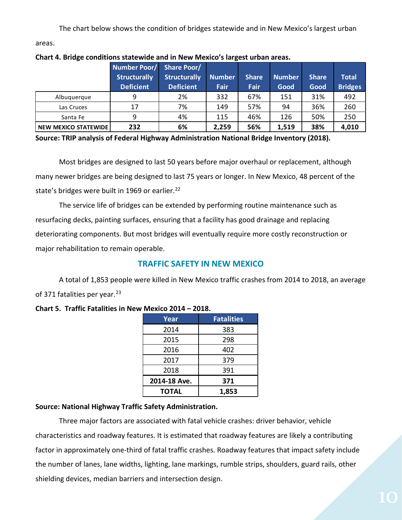The chart below shows the condition of bridges statewide and in New Mexico's largest urban

areas.

|                             | <b>Number Poor/</b><br><b>Structurally</b><br><b>Deficient</b> | <b>Share Poor/</b><br><b>Structurally</b><br><b>Deficient</b> | <b>Number</b><br>Fair | <b>Share</b><br><b>Fair</b> | <b>Number</b><br>Good | <b>Share</b><br>Good | <b>Total</b><br><b>Bridges</b> |
|-----------------------------|----------------------------------------------------------------|---------------------------------------------------------------|-----------------------|-----------------------------|-----------------------|----------------------|--------------------------------|
| Albuguergue                 | 9                                                              | 2%                                                            | 332                   | 67%                         | 151                   | 31%                  | 492                            |
| Las Cruces                  | 17                                                             | 7%                                                            | 149                   | 57%                         | 94                    | 36%                  | 260                            |
| Santa Fe                    | 9                                                              | 4%                                                            | 115                   | 46%                         | 126                   | 50%                  | 250                            |
| <b>NEW MEXICO STATEWIDE</b> | 232                                                            | 6%                                                            | 2,259                 | 56%                         | 1,519                 | 38%                  | 4,010                          |

#### **Chart 4. Bridge conditions statewide and in New Mexico's largest urban areas.**

**Source: TRIP analysis of Federal Highway Administration National Bridge Inventory (2018).**

Most bridges are designed to last 50 years before major overhaul or replacement, although many newer bridges are being designed to last 75 years or longer. In New Mexico, 48 percent of the state's bridges were built in 1969 or earlier.<sup>[22](#page-2-21)</sup>

The service life of bridges can be extended by performing routine maintenance such as resurfacing decks, painting surfaces, ensuring that a facility has good drainage and replacing deteriorating components. But most bridges will eventually require more costly reconstruction or major rehabilitation to remain operable.

# **TRAFFIC SAFETY IN NEW MEXICO**

A total of 1,853 people were killed in New Mexico traffic crashes from 2014 to 2018, an average of 371 fatalities per year.<sup>[23](#page-2-22)</sup>

# **Chart 5. Traffic Fatalities in New Mexico 2014 – 2018.**

| Year         | <b>Fatalities</b> |
|--------------|-------------------|
| 2014         | 383               |
| 2015         | 298               |
| 2016         | 402               |
| 2017         | 379               |
| 2018         | 391               |
| 2014-18 Ave. | 371               |
| TOTAL        | 1.853             |

# **Source: National Highway Traffic Safety Administration.**

Three major factors are associated with fatal vehicle crashes: driver behavior, vehicle characteristics and roadway features. It is estimated that roadway features are likely a contributing factor in approximately one-third of fatal traffic crashes. Roadway features that impact safety include the number of lanes, lane widths, lighting, lane markings, rumble strips, shoulders, guard rails, other shielding devices, median barriers and intersection design.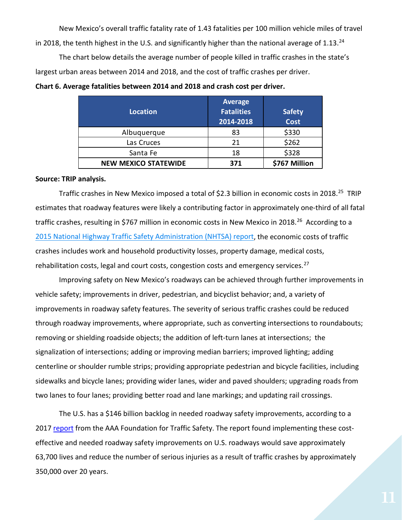New Mexico's overall traffic fatality rate of 1.43 fatalities per 100 million vehicle miles of travel in 2018, the tenth highest in the U.S. and significantly higher than the national average of 1.13.<sup>[24](#page-2-23)</sup>

The chart below details the average number of people killed in traffic crashes in the state's largest urban areas between 2014 and 2018, and the cost of traffic crashes per driver.

| Location                    | <b>Average</b><br><b>Fatalities</b><br>2014-2018 | <b>Safety</b><br><b>Cost</b> |
|-----------------------------|--------------------------------------------------|------------------------------|
| Albuquerque                 | 83                                               | \$330                        |
| Las Cruces                  | 21                                               | \$262                        |
| Santa Fe                    | 18                                               | \$328                        |
| <b>NEW MEXICO STATEWIDE</b> | 371                                              | \$767 Million                |

|  | Chart 6. Average fatalities between 2014 and 2018 and crash cost per driver. |  |
|--|------------------------------------------------------------------------------|--|
|--|------------------------------------------------------------------------------|--|

#### **Source: TRIP analysis.**

Traffic crashes in New Mexico imposed a total of \$2.3 billion in economic costs in 2018.<sup>[25](#page-2-24)</sup> TRIP estimates that roadway features were likely a contributing factor in approximately one-third of all fatal traffic crashes, resulting in \$767 million in economic costs in New Mexico in 2018.<sup>26</sup> According to a 2015 National Highway Traffic [Safety Administration \(NHTSA\) report,](file://EgnyteDrive/tripcloud/Shared/TRIP%20Staff%20Folders/Active%20State%20Reports%202019/Alabama/According%20to%20a%202015%20National%20Highway%20Traffic%20Safety%20Administration%20(NHTSA)%20report,) the economic costs of traffic crashes includes work and household productivity losses, property damage, medical costs, rehabilitation costs, legal and court costs, congestion costs and emergency services.<sup>[27](#page-2-26)</sup>

Improving safety on New Mexico's roadways can be achieved through further improvements in vehicle safety; improvements in driver, pedestrian, and bicyclist behavior; and, a variety of improvements in roadway safety features. The severity of serious traffic crashes could be reduced through roadway improvements, where appropriate, such as converting intersections to roundabouts; removing or shielding roadside objects; the addition of left-turn lanes at intersections; the signalization of intersections; adding or improving median barriers; improved lighting; adding centerline or shoulder rumble strips; providing appropriate pedestrian and bicycle facilities, including sidewalks and bicycle lanes; providing wider lanes, wider and paved shoulders; upgrading roads from two lanes to four lanes; providing better road and lane markings; and updating rail crossings.

The U.S. has a \$146 billion backlog in needed roadway safety improvements, according to a 2017 [report](https://aaafoundation.org/wp-content/uploads/2017/05/SafetyBenefitsofHighway.pdf) from the AAA Foundation for Traffic Safety. The report found implementing these costeffective and needed roadway safety improvements on U.S. roadways would save approximately 63,700 lives and reduce the number of serious injuries as a result of traffic crashes by approximately 350,000 over 20 years.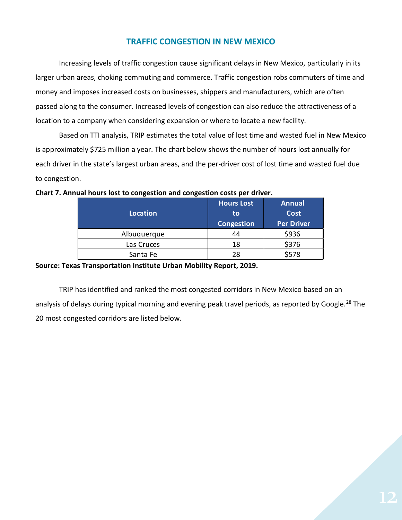# **TRAFFIC CONGESTION IN NEW MEXICO**

Increasing levels of traffic congestion cause significant delays in New Mexico, particularly in its larger urban areas, choking commuting and commerce. Traffic congestion robs commuters of time and money and imposes increased costs on businesses, shippers and manufacturers, which are often passed along to the consumer. Increased levels of congestion can also reduce the attractiveness of a location to a company when considering expansion or where to locate a new facility.

Based on TTI analysis, TRIP estimates the total value of lost time and wasted fuel in New Mexico is approximately \$725 million a year. The chart below shows the number of hours lost annually for each driver in the state's largest urban areas, and the per-driver cost of lost time and wasted fuel due to congestion.

| Location    | <b>Hours Lost</b><br>to<br>Congestion | <b>Annual</b><br><b>Cost</b><br><b>Per Driver</b> |
|-------------|---------------------------------------|---------------------------------------------------|
| Albuquerque | 44                                    | \$936                                             |
| Las Cruces  | 18                                    | \$376                                             |
| Santa Fe    | 28                                    | \$578                                             |

#### **Chart 7. Annual hours lost to congestion and congestion costs per driver.**

#### **Source: Texas Transportation Institute Urban Mobility Report, 2019.**

TRIP has identified and ranked the most congested corridors in New Mexico based on an analysis of delays during typical morning and evening peak travel periods, as reported by Google.<sup>[28](#page-2-27)</sup> The 20 most congested corridors are listed below.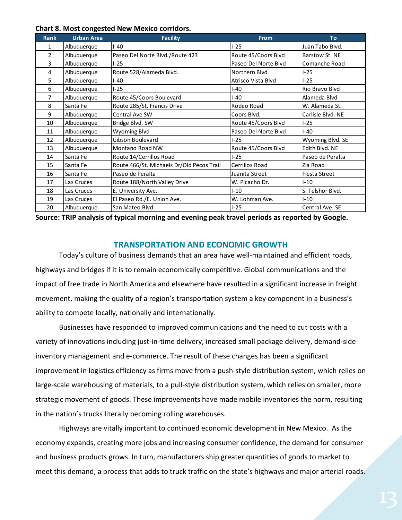| <b>Chart 8. Most congested New Mexico corridors.</b> |  |  |
|------------------------------------------------------|--|--|
|------------------------------------------------------|--|--|

| <b>Rank</b>    | <b>Urban Area</b> | <b>Facility</b>                           | From                 | <b>To</b>         |
|----------------|-------------------|-------------------------------------------|----------------------|-------------------|
| 1              | Albuquerque       | $I - 40$                                  | $I-25$               | Juan Tabo Blvd.   |
| $\overline{2}$ | Albuquerque       | Paseo Del Norte Blvd./Route 423           | Route 45/Coors Blvd  | Barstow St. NE    |
| 3              | Albuquerque       | $1-25$                                    | Paseo Del Norte Blvd | Comanche Road     |
| 4              | Albuquerque       | Route 528/Alameda Blvd.                   | Northern Blvd.       | $I-25$            |
| 5              | Albuquerque       | $I - 40$                                  | Atrisco Vista Blvd   | $I-25$            |
| 6              | Albuquerque       | I-25                                      | $I-40$               | Rio Bravo Blvd    |
| $\overline{7}$ | Albuquerque       | Route 45/Coors Boulevard                  | $I-40$               | Alameda Blvd      |
| 8              | Santa Fe          | Route 285/St. Francis Drive               | Rodeo Road           | W. Alameda St.    |
| 9              | Albuquerque       | Central Ave SW                            | Coors Blvd.          | Carlisle Blvd. NE |
| 10             | Albuquerque       | Bridge Blvd. SW                           | Route 45/Coors Blvd  | $I-25$            |
| 11             | Albuquerque       | Wyoming Blvd                              | Paseo Del Norte Blvd | I-40              |
| 12             | Albuquerque       | Gibson Boulevard                          | $I-25$               | Wyoming Blvd. SE  |
| 13             | Albuquerque       | Montano Road NW                           | Route 45/Coors Blvd  | Edith Blvd. NE    |
| 14             | Santa Fe          | Route 14/Cerrillos Road                   | $I-25$               | Paseo de Peralta  |
| 15             | Santa Fe          | Route 466/St. Michaels Dr/Old Pecos Trail | Cerrillos Road       | Zia Road          |
| 16             | Santa Fe          | Paseo de Peralta                          | Juanita Street       | Fiesta Street     |
| 17             | Las Cruces        | Route 188/North Valley Drive              | W. Picacho Dr.       | $1 - 10$          |
| 18             | Las Cruces        | E. University Ave.                        | $I-10$               | S. Telshor Blvd.  |
| 19             | Las Cruces        | El Paseo Rd./E. Union Ave.                | W. Lohman Ave.       | $I-10$            |
| 20             | Albuquerque       | San Mateo Blvd                            | $I-25$               | Central Ave. SE   |

**Source: TRIP analysis of typical morning and evening peak travel periods as reported by Google.**

#### **TRANSPORTATION AND ECONOMIC GROWTH**

Today's culture of business demands that an area have well-maintained and efficient roads, highways and bridges if it is to remain economically competitive. Global communications and the impact of free trade in North America and elsewhere have resulted in a significant increase in freight movement, making the quality of a region's transportation system a key component in a business's ability to compete locally, nationally and internationally.

Businesses have responded to improved communications and the need to cut costs with a variety of innovations including just-in-time delivery, increased small package delivery, demand-side inventory management and e-commerce. The result of these changes has been a significant improvement in logistics efficiency as firms move from a push-style distribution system, which relies on large-scale warehousing of materials, to a pull-style distribution system, which relies on smaller, more strategic movement of goods. These improvements have made mobile inventories the norm, resulting in the nation's trucks literally becoming rolling warehouses.

Highways are vitally important to continued economic development in New Mexico. As the economy expands, creating more jobs and increasing consumer confidence, the demand for consumer and business products grows. In turn, manufacturers ship greater quantities of goods to market to meet this demand, a process that adds to truck traffic on the state's highways and major arterial roads.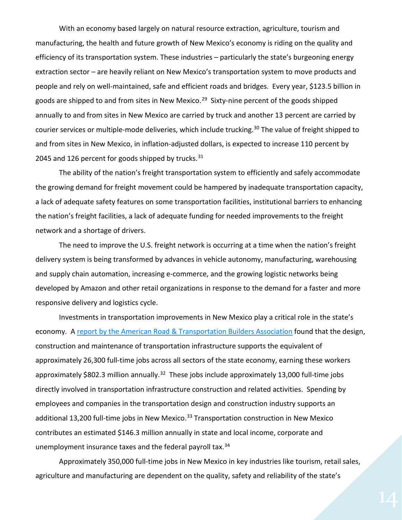With an economy based largely on natural resource extraction, agriculture, tourism and manufacturing, the health and future growth of New Mexico's economy is riding on the quality and efficiency of its transportation system. These industries – particularly the state's burgeoning energy extraction sector – are heavily reliant on New Mexico's transportation system to move products and people and rely on well-maintained, safe and efficient roads and bridges. Every year, \$123.5 billion in goods are shipped to and from sites in New Mexico.<sup>29</sup> Sixty-nine percent of the goods shipped annually to and from sites in New Mexico are carried by truck and another 13 percent are carried by courier services or multiple-mode deliveries, which include trucking.<sup>[30](#page-2-29)</sup> The value of freight shipped to and from sites in New Mexico, in inflation-adjusted dollars, is expected to increase 110 percent by 2045 and 126 percent for goods shipped by trucks. $31$ 

The ability of the nation's freight transportation system to efficiently and safely accommodate the growing demand for freight movement could be hampered by inadequate transportation capacity, a lack of adequate safety features on some transportation facilities, institutional barriers to enhancing the nation's freight facilities, a lack of adequate funding for needed improvements to the freight network and a shortage of drivers.

The need to improve the U.S. freight network is occurring at a time when the nation's freight delivery system is being transformed by advances in vehicle autonomy, manufacturing, warehousing and supply chain automation, increasing e-commerce, and the growing logistic networks being developed by Amazon and other retail organizations in response to the demand for a faster and more responsive delivery and logistics cycle.

Investments in transportation improvements in New Mexico play a critical role in the state's economy. A [report by the American Road & Transportation Builders Association](https://www.transportationcreatesjobs.org/pdf/Economic_Profile.pdf) found that the design, construction and maintenance of transportation infrastructure supports the equivalent of approximately 26,300 full-time jobs across all sectors of the state economy, earning these workers approximately \$802.3 million annually.<sup>[32](#page-2-31)</sup> These jobs include approximately 13,000 full-time jobs directly involved in transportation infrastructure construction and related activities. Spending by employees and companies in the transportation design and construction industry supports an additional 13,200 full-time jobs in New Mexico.<sup>[33](#page-2-32)</sup> Transportation construction in New Mexico contributes an estimated \$146.3 million annually in state and local income, corporate and unemployment insurance taxes and the federal payroll tax.<sup>[34](#page-2-33)</sup>

Approximately 350,000 full-time jobs in New Mexico in key industries like tourism, retail sales, agriculture and manufacturing are dependent on the quality, safety and reliability of the state's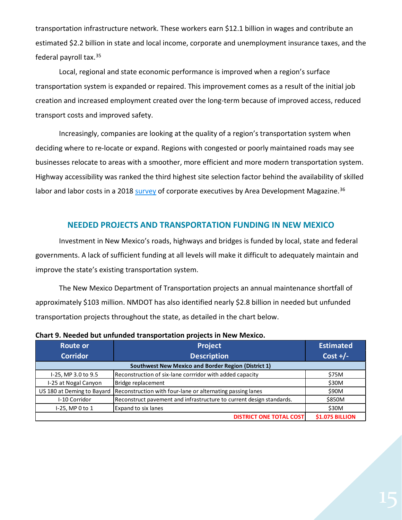transportation infrastructure network. These workers earn \$12.1 billion in wages and contribute an estimated \$2.2 billion in state and local income, corporate and unemployment insurance taxes, and the federal payroll tax.[35](#page-2-34)

Local, regional and state economic performance is improved when a region's surface transportation system is expanded or repaired. This improvement comes as a result of the initial job creation and increased employment created over the long-term because of improved access, reduced transport costs and improved safety.

Increasingly, companies are looking at the quality of a region's transportation system when deciding where to re-locate or expand. Regions with congested or poorly maintained roads may see businesses relocate to areas with a smoother, more efficient and more modern transportation system. Highway accessibility was ranked the third highest site selection factor behind the availability of skilled labor and labor costs in a 2018 [survey](http://www.areadevelopment.com/Corporate-Consultants-Survey-Results/Q1-2019/33nd-annual-corporate-survey-15th-annual-consultants-survey.shtml) of corporate executives by Area Development Magazine.<sup>[36](#page-2-35)</sup>

#### **NEEDED PROJECTS AND TRANSPORTATION FUNDING IN NEW MEXICO**

Investment in New Mexico's roads, highways and bridges is funded by local, state and federal governments. A lack of sufficient funding at all levels will make it difficult to adequately maintain and improve the state's existing transportation system.

The New Mexico Department of Transportation projects an annual maintenance shortfall of approximately \$103 million. NMDOT has also identified nearly \$2.8 billion in needed but unfunded transportation projects throughout the state, as detailed in the chart below.

| <b>Route or</b>                                            | <b>Project</b>                                                       | <b>Estimated</b>       |
|------------------------------------------------------------|----------------------------------------------------------------------|------------------------|
| <b>Corridor</b>                                            | <b>Description</b>                                                   | Cost $+/-$             |
| <b>Southwest New Mexico and Border Region (District 1)</b> |                                                                      |                        |
| I-25, MP 3.0 to 9.5                                        | Reconstruction of six-lane corrridor with added capacity             | \$75M                  |
| I-25 at Nogal Canyon                                       | Bridge replacement                                                   | \$30M                  |
| US 180 at Deming to Bayard                                 | Reconstruction with four-lane or alternating passing lanes           | \$90M                  |
| I-10 Corridor                                              | Reconstruct pavement and infrastructure to current design standards. | \$850M                 |
| I-25, MP 0 to 1                                            | Expand to six lanes                                                  | \$30M                  |
|                                                            | <b>DISTRICT ONE TOTAL COST</b>                                       | <b>\$1.075 BILLION</b> |

**Chart 9. Needed but unfunded transportation projects in New Mexico.**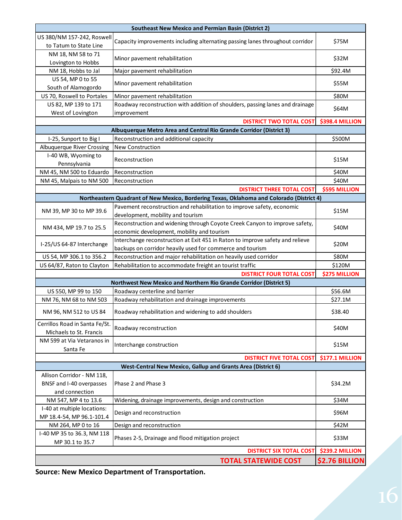| <b>Southeast New Mexico and Permian Basin (District 2)</b>   |                                                                                          |                       |  |  |
|--------------------------------------------------------------|------------------------------------------------------------------------------------------|-----------------------|--|--|
| US 380/NM 157-242, Roswell<br>to Tatum to State Line         | Capacity improvements including alternating passing lanes throughout corridor            | \$75M                 |  |  |
| NM 18, NM 58 to 71                                           | Minor pavement rehabilitation                                                            | \$32M                 |  |  |
| Lovington to Hobbs                                           |                                                                                          |                       |  |  |
| NM 18, Hobbs to Jal                                          | Major pavement rehabilitation                                                            | \$92.4M               |  |  |
| US 54, MP 0 to 55<br>South of Alamogordo                     | Minor pavement rehabilitation                                                            | \$55M                 |  |  |
| US 70, Roswell to Portales                                   | Minor pavement rehabilitation                                                            | \$80M                 |  |  |
| US 82, MP 139 to 171                                         | Roadway reconstruction with addition of shoulders, passing lanes and drainage            |                       |  |  |
| West of Lovington                                            | improvement                                                                              | \$64M                 |  |  |
|                                                              | <b>DISTRICT TWO TOTAL COST</b>                                                           | \$398.4 MILLION       |  |  |
|                                                              | Albuquerque Metro Area and Central Rio Grande Corridor (District 3)                      |                       |  |  |
| I-25, Sunport to Big I                                       | Reconstruction and additional capacity                                                   | \$500M                |  |  |
| <b>Albuquerque River Crossing</b>                            | New Construction                                                                         |                       |  |  |
| I-40 WB, Wyoming to<br>Pennsylvania                          | Reconstruction                                                                           | \$15M                 |  |  |
| NM 45, NM 500 to Eduardo                                     | Reconstruction                                                                           | \$40M                 |  |  |
| NM 45, Malpais to NM 500                                     | Reconstruction                                                                           | \$40M                 |  |  |
|                                                              | <b>DISTRICT THREE TOTAL COST</b>                                                         | <b>\$595 MILLION</b>  |  |  |
|                                                              | Northeastern Quadrant of New Mexico, Bordering Texas, Oklahoma and Colorado (District 4) |                       |  |  |
|                                                              | Pavement reconstruction and rehabilitation to improve safety, economic                   |                       |  |  |
| NM 39, MP 30 to MP 39.6                                      | development, mobility and tourism                                                        | \$15M                 |  |  |
|                                                              | Reconstruction and widening through Coyote Creek Canyon to improve safety,               |                       |  |  |
| NM 434, MP 19.7 to 25.5                                      | economic development, mobility and tourism                                               | \$40M                 |  |  |
|                                                              | Interchange reconstruction at Exit 451 in Raton to improve safety and relieve            |                       |  |  |
| I-25/US 64-87 Interchange                                    | backups on corridor heavily used for commerce and tourism                                | \$20M                 |  |  |
| US 54, MP 306.1 to 356.2                                     | Reconstruction and major rehabilitation on heavily used corridor                         | \$80M                 |  |  |
| US 64/87, Raton to Clayton                                   | Rehabilitation to accommodate freight an tourist traffic                                 | \$120M                |  |  |
|                                                              | <b>DISTRICT FOUR TOTAL COST</b><br><b>\$275 MILLION</b>                                  |                       |  |  |
|                                                              | Northwest New Mexico and Northern Rio Grande Corridor (District 5)                       |                       |  |  |
| US 550, MP 99 to 150                                         | Roadway centerline and barrier                                                           | \$56.6M               |  |  |
| NM 76, NM 68 to NM 503                                       | Roadway rehabilitation and drainage improvements                                         | \$27.1M               |  |  |
| NM 96, NM 512 to US 84                                       | Roadway rehabilitation and widening to add shoulders                                     | \$38.40               |  |  |
| Cerrillos Road in Santa Fe/St.<br>Michaels to St. Francis    | Roadway reconstruction                                                                   | \$40M                 |  |  |
| NM 599 at Via Vetaranos in<br>Santa Fe                       | Interchange construction                                                                 | \$15M                 |  |  |
|                                                              | <b>DISTRICT FIVE TOTAL COST</b>                                                          | \$177.1 MILLION       |  |  |
| West-Central New Mexico, Gallup and Grants Area (District 6) |                                                                                          |                       |  |  |
| Allison Corridor - NM 118,                                   |                                                                                          |                       |  |  |
| BNSF and I-40 overpasses                                     | Phase 2 and Phase 3                                                                      | \$34.2M               |  |  |
| and connection                                               |                                                                                          |                       |  |  |
| NM 547, MP 4 to 13.6                                         | Widening, drainage improvements, design and construction                                 | \$34M                 |  |  |
| I-40 at multiple locations:<br>MP 18.4-54, MP 96.1-101.4     | Design and reconstruction                                                                | \$96M                 |  |  |
| NM 264, MP 0 to 16                                           | Design and reconstruction                                                                | \$42M                 |  |  |
| I-40 MP 35 to 36.3, NM 118                                   |                                                                                          |                       |  |  |
| MP 30.1 to 35.7                                              | Phases 2-5, Drainage and flood mitigation project                                        | \$33M                 |  |  |
| <b>DISTRICT SIX TOTAL COST</b><br><b>\$239.2 MILLION</b>     |                                                                                          |                       |  |  |
|                                                              | <b>TOTAL STATEWIDE COST</b>                                                              | <b>\$2.76 BILLION</b> |  |  |

**Source: New Mexico Department of Transportation.**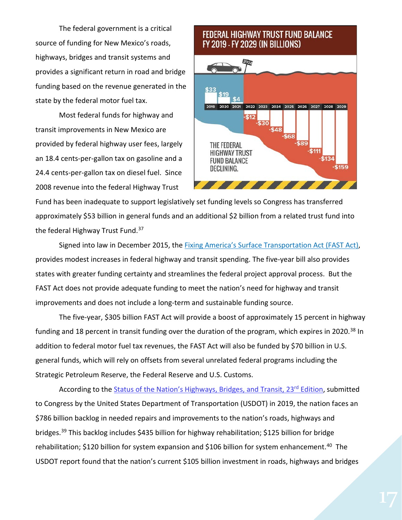The federal government is a critical source of funding for New Mexico's roads, highways, bridges and transit systems and provides a significant return in road and bridge funding based on the revenue generated in the state by the federal motor fuel tax.

Most federal funds for highway and transit improvements in New Mexico are provided by federal highway user fees, largely an 18.4 cents-per-gallon tax on gasoline and a 24.4 cents-per-gallon tax on diesel fuel. Since 2008 revenue into the federal Highway Trust

# **FEDERAL HIGHWAY TRUST FUND BALANCE** FY 2019 - FY 2029 (IN BILLIONS)



Fund has been inadequate to support legislatively set funding levels so Congress has transferred approximately \$53 billion in general funds and an additional \$2 billion from a related trust fund into the federal Highway Trust Fund.<sup>[37](#page-2-36)</sup>

Signed into law in December 2015, the [Fixing America's Surface Transportation Act \(FAST Act\),](https://www.congress.gov/114/bills/hr22/BILLS-114hr22enr.pdf) provides modest increases in federal highway and transit spending. The five-year bill also provides states with greater funding certainty and streamlines the federal project approval process. But the FAST Act does not provide adequate funding to meet the nation's need for highway and transit improvements and does not include a long-term and sustainable funding source.

The five-year, \$305 billion FAST Act will provide a boost of approximately 15 percent in highway funding and 18 percent in transit funding over the duration of the program, which expires in 2020.<sup>[38](#page-2-37)</sup> In addition to federal motor fuel tax revenues, the FAST Act will also be funded by \$70 billion in U.S. general funds, which will rely on offsets from several unrelated federal programs including the Strategic Petroleum Reserve, the Federal Reserve and U.S. Customs.

According to the [Status of the Nation's Highways, Bridges, and Transit, 23rd](https://www.fhwa.dot.gov/policy/23cpr/) Edition, submitted to Congress by the United States Department of Transportation (USDOT) in 2019, the nation faces an \$786 billion backlog in needed repairs and improvements to the nation's roads, highways and bridges.<sup>39</sup> This backlog includes \$435 billion for highway rehabilitation; \$125 billion for bridge rehabilitation; \$120 billion for system expansion and \$106 billion for system enhancement.<sup>40</sup> The USDOT report found that the nation's current \$105 billion investment in roads, highways and bridges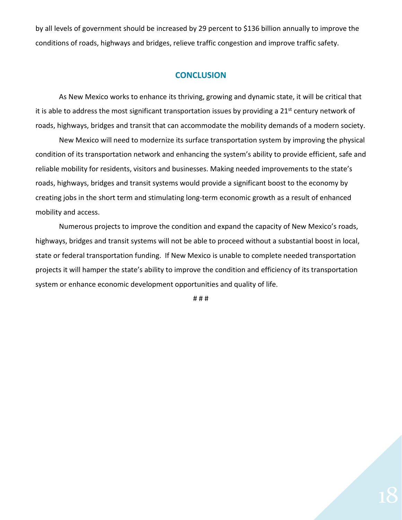by all levels of government should be increased by 29 percent to \$136 billion annually to improve the conditions of roads, highways and bridges, relieve traffic congestion and improve traffic safety.

#### **CONCLUSION**

As New Mexico works to enhance its thriving, growing and dynamic state, it will be critical that it is able to address the most significant transportation issues by providing a 21<sup>st</sup> century network of roads, highways, bridges and transit that can accommodate the mobility demands of a modern society.

New Mexico will need to modernize its surface transportation system by improving the physical condition of its transportation network and enhancing the system's ability to provide efficient, safe and reliable mobility for residents, visitors and businesses. Making needed improvements to the state's roads, highways, bridges and transit systems would provide a significant boost to the economy by creating jobs in the short term and stimulating long-term economic growth as a result of enhanced mobility and access.

Numerous projects to improve the condition and expand the capacity of New Mexico's roads, highways, bridges and transit systems will not be able to proceed without a substantial boost in local, state or federal transportation funding. If New Mexico is unable to complete needed transportation projects it will hamper the state's ability to improve the condition and efficiency of its transportation system or enhance economic development opportunities and quality of life.

# # #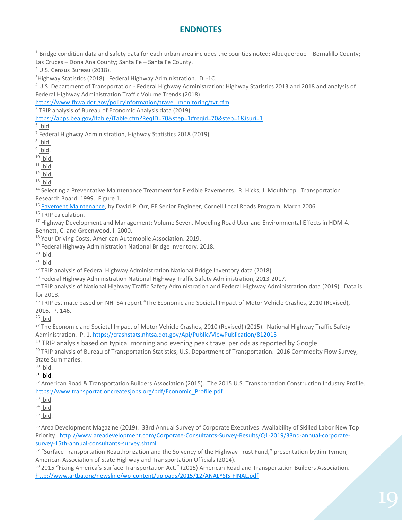# **ENDNOTES**

 $1$  Bridge condition data and safety data for each urban area includes the counties noted: Albuquerque – Bernalillo County; Las Cruces – Dona Ana County; Santa Fe – Santa Fe County.

[https://www.fhwa.dot.gov/policyinformation/travel\\_monitoring/tvt.cfm](https://www.fhwa.dot.gov/policyinformation/travel_monitoring/tvt.cfm)

<sup>5</sup> TRIP analysis of Bureau of Economic Analysis data (2019).

<https://apps.bea.gov/itable/iTable.cfm?ReqID=70&step=1#reqid=70&step=1&isuri=1>

 $6$  Ibid.

<sup>7</sup> Federal Highway Administration, Highway Statistics 2018 (2019). <sup>8</sup> Ibid.

 $9$  Ibid.

 $\frac{10 \text{ libid.}}{11 \text{ libid.}}$ 

<sup>12</sup> Ibid.<br><sup>13</sup> Ibid.<br><sup>14</sup> Selecting a Preventative Maintenance Treatment for Flexible Pavements. R. Hicks, J. Moulthrop. Transportation Research Board. 1999. Figure 1.

<sup>15</sup> [Pavement Maintenance,](https://www.yumpu.com/en/document/view/9021768/pavement-maintenance-cornell-local-roads-program-cornell-/4) by David P. Orr, PE Senior Engineer, Cornell Local Roads Program, March 2006.

<sup>16</sup> TRIP calculation.

<sup>17</sup> Highway Development and Management: Volume Seven. Modeling Road User and Environmental Effects in HDM-4. Bennett, C. and Greenwood, I. 2000.

<sup>18</sup> Your Driving Costs. American Automobile Association. 2019.<br><sup>19</sup> Federal Highway Administration National Bridge Inventory. 2018.<br><sup>20</sup> Ibid.

 $21$  Ibid

<sup>22</sup> TRIP analysis of Federal Highway Administration National Bridge Inventory data (2018).

<sup>23</sup> Federal Highway Administration National Highway Traffic Safety Administration, 2013-2017.

<sup>24</sup> TRIP analysis of National Highway Traffic Safety Administration and Federal Highway Administration data (2019). Data is for 2018.

<sup>25</sup> TRIP estimate based on NHTSA report "The Economic and Societal Impact of Motor Vehicle Crashes, 2010 (Revised), 2016. P. 146.

<sup>26</sup> Ibid.

<sup>27</sup> The Economic and Societal Impact of Motor Vehicle Crashes, 2010 (Revised) (2015). National Highway Traffic Safety Administration. P. 1[. https://crashstats.nhtsa.dot.gov/Api/Public/ViewPublication/812013](https://crashstats.nhtsa.dot.gov/Api/Public/ViewPublication/812013) 

<sup>28</sup> TRIP analysis based on typical morning and evening peak travel periods as reported by Google.

<sup>29</sup> TRIP analysis of Bureau of Transportation Statistics, U.S. Department of Transportation. 2016 Commodity Flow Survey, State Summaries.

 $\frac{30}{31}$  lbid.

<sup>32</sup> American Road & Transportation Builders Association (2015). The 2015 U.S. Transportation Construction Industry Profile. [https://www.transportationcreatesjobs.org/pdf/Economic\\_Profile.pdf](https://www.transportationcreatesjobs.org/pdf/Economic_Profile.pdf)

 $33$  Ibid.

 $34$  Ibid

 $35$  Ibid.

<sup>36</sup> Area Development Magazine (2019). 33rd Annual Survey of Corporate Executives: Availability of Skilled Labor New Top Priority. [http://www.areadevelopment.com/Corporate-Consultants-Survey-Results/Q1-2019/33nd-annual-corporate](http://www.areadevelopment.com/Corporate-Consultants-Survey-Results/Q1-2019/33nd-annual-corporate-survey-15th-annual-consultants-survey.shtml)[survey-15th-annual-consultants-survey.shtml](http://www.areadevelopment.com/Corporate-Consultants-Survey-Results/Q1-2019/33nd-annual-corporate-survey-15th-annual-consultants-survey.shtml)

<sup>37</sup> "Surface Transportation Reauthorization and the Solvency of the Highway Trust Fund," presentation by Jim Tymon, American Association of State Highway and Transportation Officials (2014).

<sup>38</sup> 2015 "Fixing America's Surface Transportation Act." (2015) American Road and Transportation Builders Association. <http://www.artba.org/newsline/wp-content/uploads/2015/12/ANALYSIS-FINAL.pdf>

<sup>&</sup>lt;sup>2</sup> U.S. Census Bureau (2018).<br><sup>3</sup> Highway Statistics (2018). Federal Highway Administration. DL-1C.

<sup>&</sup>lt;sup>4</sup> U.S. Department of Transportation - Federal Highway Administration: Highway Statistics 2013 and 2018 and analysis of Federal Highway Administration Traffic Volume Trends (2018)